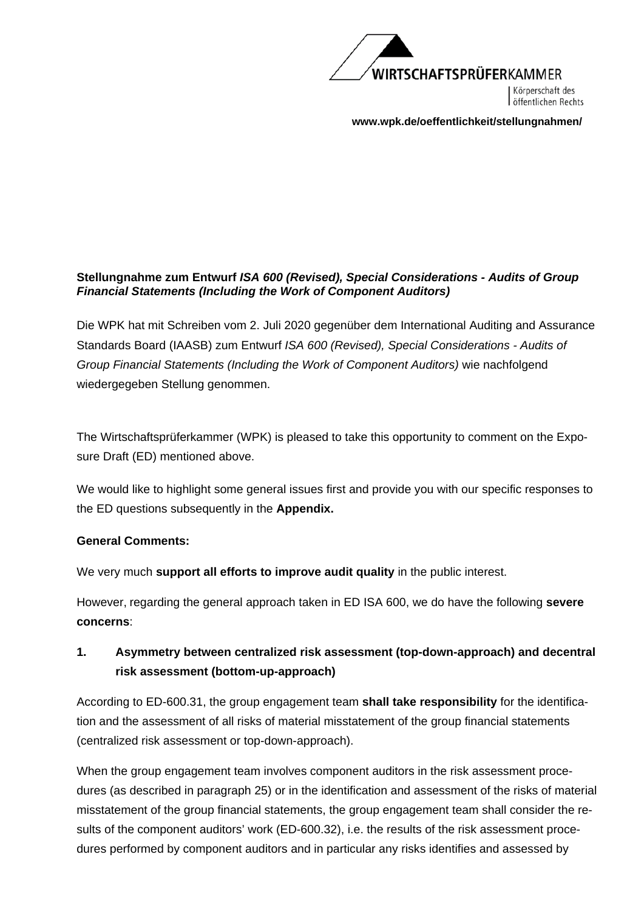

Körperschaft des öffentlichen Rechts

**www.wpk.de/oeffentlichkeit/stellungnahmen/** 

### **Stellungnahme zum Entwurf** *ISA 600 (Revised), Special Considerations - Audits of Group Financial Statements (Including the Work of Component Auditors)*

Die WPK hat mit Schreiben vom 2. Juli 2020 gegenüber dem International Auditing and Assurance Standards Board (IAASB) zum Entwurf *ISA 600 (Revised), Special Considerations - Audits of Group Financial Statements (Including the Work of Component Auditors)* wie nachfolgend wiedergegeben Stellung genommen.

The Wirtschaftsprüferkammer (WPK) is pleased to take this opportunity to comment on the Exposure Draft (ED) mentioned above.

We would like to highlight some general issues first and provide you with our specific responses to the ED questions subsequently in the **Appendix.**

## **General Comments:**

We very much **support all efforts to improve audit quality** in the public interest.

However, regarding the general approach taken in ED ISA 600, we do have the following **severe concerns**:

## **1. Asymmetry between centralized risk assessment (top-down-approach) and decentral risk assessment (bottom-up-approach)**

According to ED-600.31, the group engagement team **shall take responsibility** for the identification and the assessment of all risks of material misstatement of the group financial statements (centralized risk assessment or top-down-approach).

When the group engagement team involves component auditors in the risk assessment procedures (as described in paragraph 25) or in the identification and assessment of the risks of material misstatement of the group financial statements, the group engagement team shall consider the results of the component auditors' work (ED-600.32), i.e. the results of the risk assessment procedures performed by component auditors and in particular any risks identifies and assessed by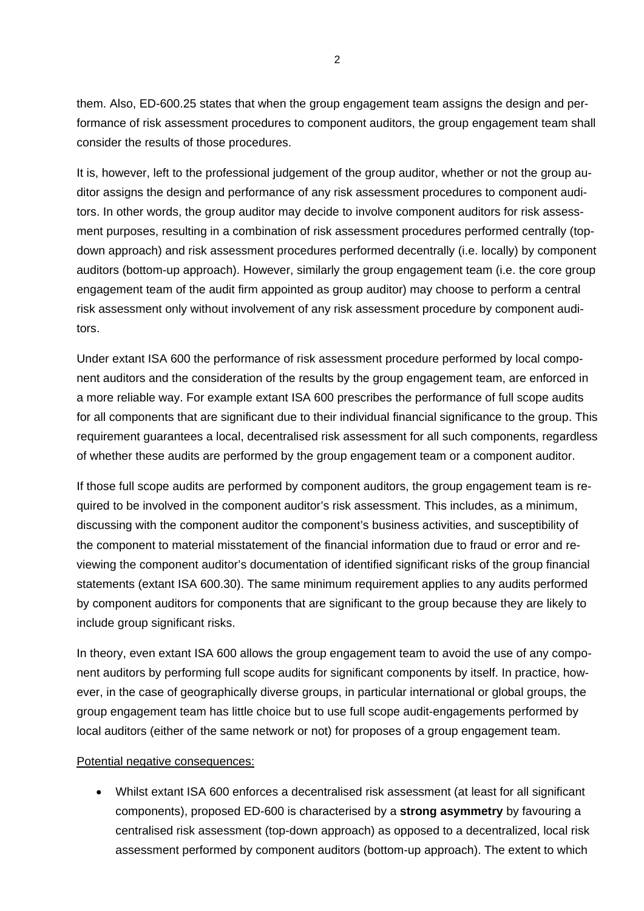them. Also, ED-600.25 states that when the group engagement team assigns the design and performance of risk assessment procedures to component auditors, the group engagement team shall consider the results of those procedures.

It is, however, left to the professional judgement of the group auditor, whether or not the group auditor assigns the design and performance of any risk assessment procedures to component auditors. In other words, the group auditor may decide to involve component auditors for risk assessment purposes, resulting in a combination of risk assessment procedures performed centrally (topdown approach) and risk assessment procedures performed decentrally (i.e. locally) by component auditors (bottom-up approach). However, similarly the group engagement team (i.e. the core group engagement team of the audit firm appointed as group auditor) may choose to perform a central risk assessment only without involvement of any risk assessment procedure by component auditors.

Under extant ISA 600 the performance of risk assessment procedure performed by local component auditors and the consideration of the results by the group engagement team, are enforced in a more reliable way. For example extant ISA 600 prescribes the performance of full scope audits for all components that are significant due to their individual financial significance to the group. This requirement guarantees a local, decentralised risk assessment for all such components, regardless of whether these audits are performed by the group engagement team or a component auditor.

If those full scope audits are performed by component auditors, the group engagement team is required to be involved in the component auditor's risk assessment. This includes, as a minimum, discussing with the component auditor the component's business activities, and susceptibility of the component to material misstatement of the financial information due to fraud or error and reviewing the component auditor's documentation of identified significant risks of the group financial statements (extant ISA 600.30). The same minimum requirement applies to any audits performed by component auditors for components that are significant to the group because they are likely to include group significant risks.

In theory, even extant ISA 600 allows the group engagement team to avoid the use of any component auditors by performing full scope audits for significant components by itself. In practice, however, in the case of geographically diverse groups, in particular international or global groups, the group engagement team has little choice but to use full scope audit-engagements performed by local auditors (either of the same network or not) for proposes of a group engagement team.

#### Potential negative consequences:

 Whilst extant ISA 600 enforces a decentralised risk assessment (at least for all significant components), proposed ED-600 is characterised by a **strong asymmetry** by favouring a centralised risk assessment (top-down approach) as opposed to a decentralized, local risk assessment performed by component auditors (bottom-up approach). The extent to which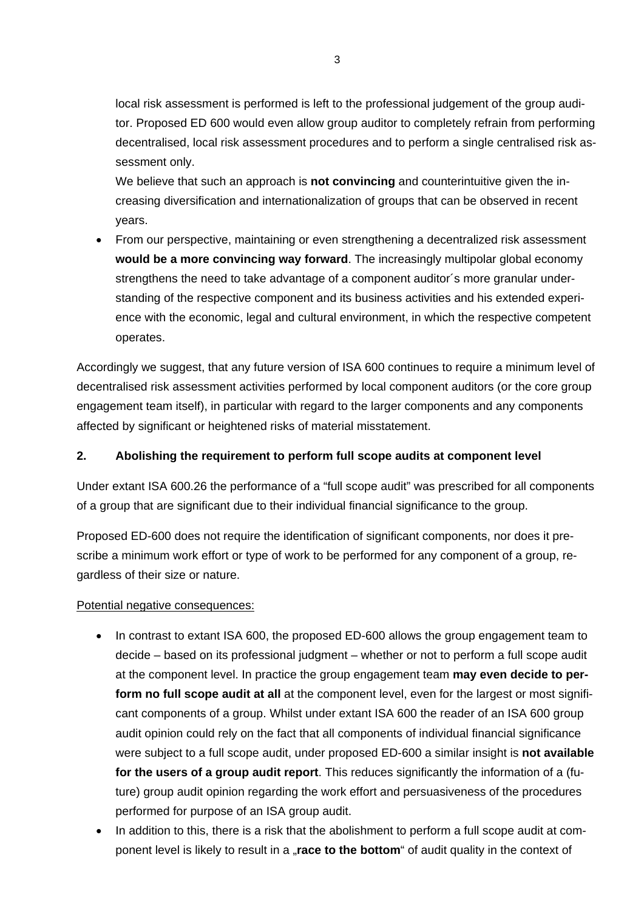local risk assessment is performed is left to the professional judgement of the group auditor. Proposed ED 600 would even allow group auditor to completely refrain from performing decentralised, local risk assessment procedures and to perform a single centralised risk assessment only.

We believe that such an approach is **not convincing** and counterintuitive given the increasing diversification and internationalization of groups that can be observed in recent years.

• From our perspective, maintaining or even strengthening a decentralized risk assessment **would be a more convincing way forward**. The increasingly multipolar global economy strengthens the need to take advantage of a component auditor´s more granular understanding of the respective component and its business activities and his extended experience with the economic, legal and cultural environment, in which the respective competent operates.

Accordingly we suggest, that any future version of ISA 600 continues to require a minimum level of decentralised risk assessment activities performed by local component auditors (or the core group engagement team itself), in particular with regard to the larger components and any components affected by significant or heightened risks of material misstatement.

## **2. Abolishing the requirement to perform full scope audits at component level**

Under extant ISA 600.26 the performance of a "full scope audit" was prescribed for all components of a group that are significant due to their individual financial significance to the group.

Proposed ED-600 does not require the identification of significant components, nor does it prescribe a minimum work effort or type of work to be performed for any component of a group, regardless of their size or nature.

## Potential negative consequences:

- In contrast to extant ISA 600, the proposed ED-600 allows the group engagement team to decide – based on its professional judgment – whether or not to perform a full scope audit at the component level. In practice the group engagement team **may even decide to perform no full scope audit at all** at the component level, even for the largest or most significant components of a group. Whilst under extant ISA 600 the reader of an ISA 600 group audit opinion could rely on the fact that all components of individual financial significance were subject to a full scope audit, under proposed ED-600 a similar insight is **not available for the users of a group audit report**. This reduces significantly the information of a (future) group audit opinion regarding the work effort and persuasiveness of the procedures performed for purpose of an ISA group audit.
- In addition to this, there is a risk that the abolishment to perform a full scope audit at component level is likely to result in a "**race to the bottom**" of audit quality in the context of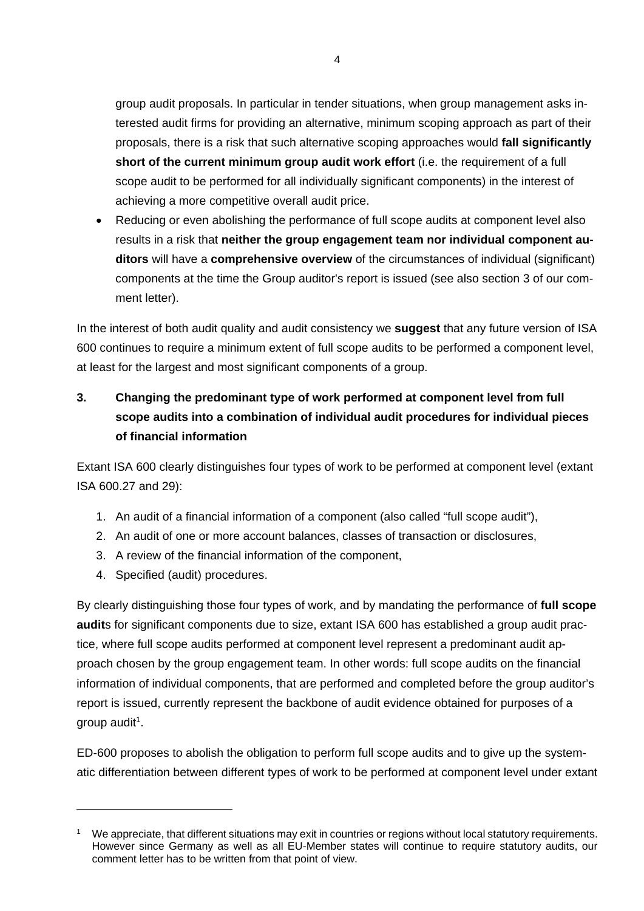group audit proposals. In particular in tender situations, when group management asks interested audit firms for providing an alternative, minimum scoping approach as part of their proposals, there is a risk that such alternative scoping approaches would **fall significantly short of the current minimum group audit work effort** (i.e. the requirement of a full scope audit to be performed for all individually significant components) in the interest of achieving a more competitive overall audit price.

• Reducing or even abolishing the performance of full scope audits at component level also results in a risk that **neither the group engagement team nor individual component auditors** will have a **comprehensive overview** of the circumstances of individual (significant) components at the time the Group auditor's report is issued (see also section 3 of our comment letter).

In the interest of both audit quality and audit consistency we **suggest** that any future version of ISA 600 continues to require a minimum extent of full scope audits to be performed a component level, at least for the largest and most significant components of a group.

# **3. Changing the predominant type of work performed at component level from full scope audits into a combination of individual audit procedures for individual pieces of financial information**

Extant ISA 600 clearly distinguishes four types of work to be performed at component level (extant ISA 600.27 and 29):

- 1. An audit of a financial information of a component (also called "full scope audit"),
- 2. An audit of one or more account balances, classes of transaction or disclosures,
- 3. A review of the financial information of the component,
- 4. Specified (audit) procedures.

By clearly distinguishing those four types of work, and by mandating the performance of **full scope audit**s for significant components due to size, extant ISA 600 has established a group audit practice, where full scope audits performed at component level represent a predominant audit approach chosen by the group engagement team. In other words: full scope audits on the financial information of individual components, that are performed and completed before the group auditor's report is issued, currently represent the backbone of audit evidence obtained for purposes of a group audit<sup>1</sup>.

ED-600 proposes to abolish the obligation to perform full scope audits and to give up the systematic differentiation between different types of work to be performed at component level under extant

<sup>&</sup>lt;sup>1</sup> We appreciate, that different situations may exit in countries or regions without local statutory requirements. However since Germany as well as all EU-Member states will continue to require statutory audits, our comment letter has to be written from that point of view.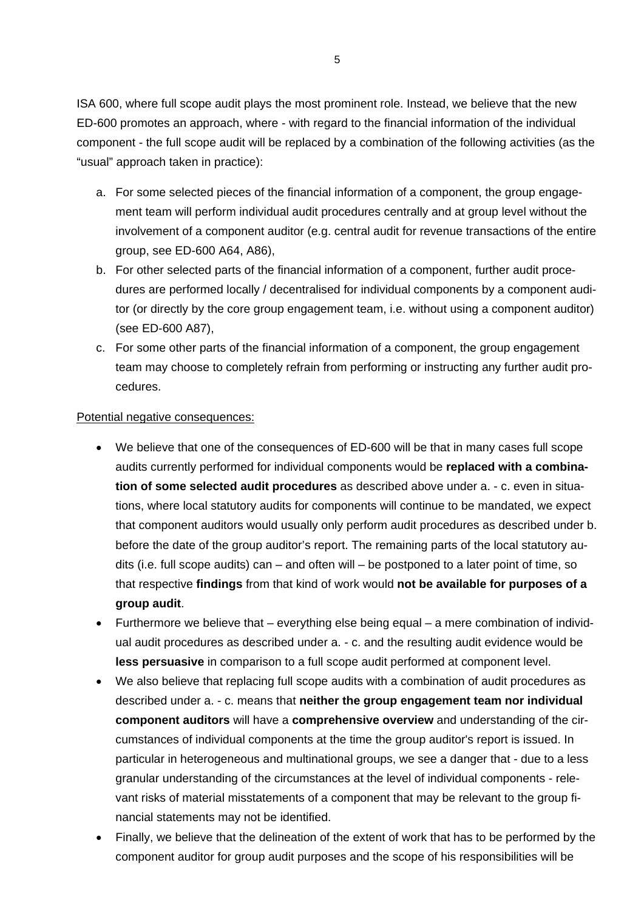ISA 600, where full scope audit plays the most prominent role. Instead, we believe that the new ED-600 promotes an approach, where - with regard to the financial information of the individual component - the full scope audit will be replaced by a combination of the following activities (as the "usual" approach taken in practice):

- a. For some selected pieces of the financial information of a component, the group engagement team will perform individual audit procedures centrally and at group level without the involvement of a component auditor (e.g. central audit for revenue transactions of the entire group, see ED-600 A64, A86),
- b. For other selected parts of the financial information of a component, further audit procedures are performed locally / decentralised for individual components by a component auditor (or directly by the core group engagement team, i.e. without using a component auditor) (see ED-600 A87),
- c. For some other parts of the financial information of a component, the group engagement team may choose to completely refrain from performing or instructing any further audit procedures.

#### Potential negative consequences:

- We believe that one of the consequences of ED-600 will be that in many cases full scope audits currently performed for individual components would be **replaced with a combination of some selected audit procedures** as described above under a. - c. even in situations, where local statutory audits for components will continue to be mandated, we expect that component auditors would usually only perform audit procedures as described under b. before the date of the group auditor's report. The remaining parts of the local statutory audits (i.e. full scope audits) can – and often will – be postponed to a later point of time, so that respective **findings** from that kind of work would **not be available for purposes of a group audit**.
- Furthermore we believe that everything else being equal a mere combination of individual audit procedures as described under a. - c. and the resulting audit evidence would be **less persuasive** in comparison to a full scope audit performed at component level.
- We also believe that replacing full scope audits with a combination of audit procedures as described under a. - c. means that **neither the group engagement team nor individual component auditors** will have a **comprehensive overview** and understanding of the circumstances of individual components at the time the group auditor's report is issued. In particular in heterogeneous and multinational groups, we see a danger that - due to a less granular understanding of the circumstances at the level of individual components - relevant risks of material misstatements of a component that may be relevant to the group financial statements may not be identified.
- Finally, we believe that the delineation of the extent of work that has to be performed by the component auditor for group audit purposes and the scope of his responsibilities will be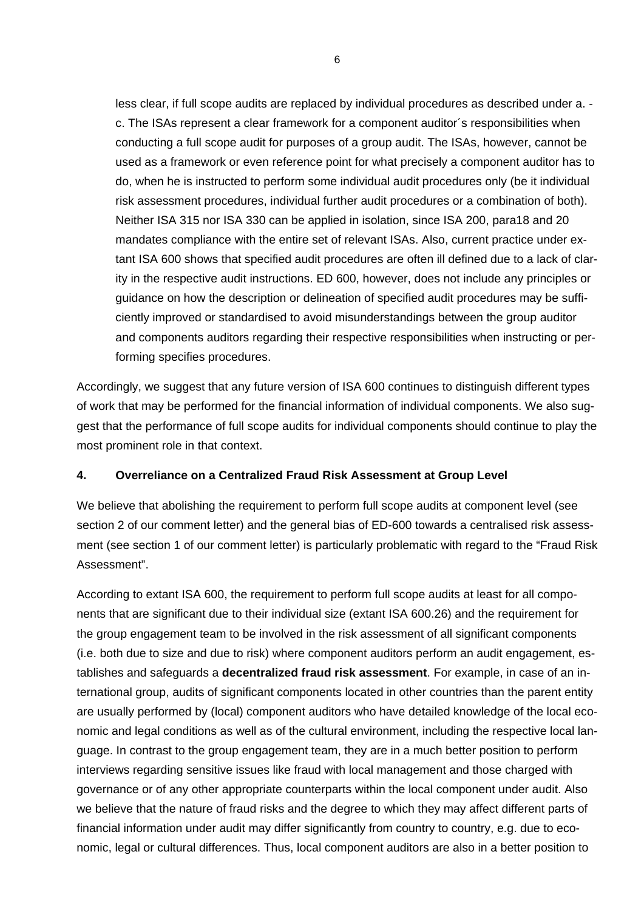less clear, if full scope audits are replaced by individual procedures as described under a. c. The ISAs represent a clear framework for a component auditor´s responsibilities when conducting a full scope audit for purposes of a group audit. The ISAs, however, cannot be used as a framework or even reference point for what precisely a component auditor has to do, when he is instructed to perform some individual audit procedures only (be it individual risk assessment procedures, individual further audit procedures or a combination of both). Neither ISA 315 nor ISA 330 can be applied in isolation, since ISA 200, para18 and 20 mandates compliance with the entire set of relevant ISAs. Also, current practice under extant ISA 600 shows that specified audit procedures are often ill defined due to a lack of clarity in the respective audit instructions. ED 600, however, does not include any principles or guidance on how the description or delineation of specified audit procedures may be sufficiently improved or standardised to avoid misunderstandings between the group auditor and components auditors regarding their respective responsibilities when instructing or performing specifies procedures.

Accordingly, we suggest that any future version of ISA 600 continues to distinguish different types of work that may be performed for the financial information of individual components. We also suggest that the performance of full scope audits for individual components should continue to play the most prominent role in that context.

#### **4. Overreliance on a Centralized Fraud Risk Assessment at Group Level**

We believe that abolishing the requirement to perform full scope audits at component level (see section 2 of our comment letter) and the general bias of ED-600 towards a centralised risk assessment (see section 1 of our comment letter) is particularly problematic with regard to the "Fraud Risk Assessment".

According to extant ISA 600, the requirement to perform full scope audits at least for all components that are significant due to their individual size (extant ISA 600.26) and the requirement for the group engagement team to be involved in the risk assessment of all significant components (i.e. both due to size and due to risk) where component auditors perform an audit engagement, establishes and safeguards a **decentralized fraud risk assessment**. For example, in case of an international group, audits of significant components located in other countries than the parent entity are usually performed by (local) component auditors who have detailed knowledge of the local economic and legal conditions as well as of the cultural environment, including the respective local language. In contrast to the group engagement team, they are in a much better position to perform interviews regarding sensitive issues like fraud with local management and those charged with governance or of any other appropriate counterparts within the local component under audit. Also we believe that the nature of fraud risks and the degree to which they may affect different parts of financial information under audit may differ significantly from country to country, e.g. due to economic, legal or cultural differences. Thus, local component auditors are also in a better position to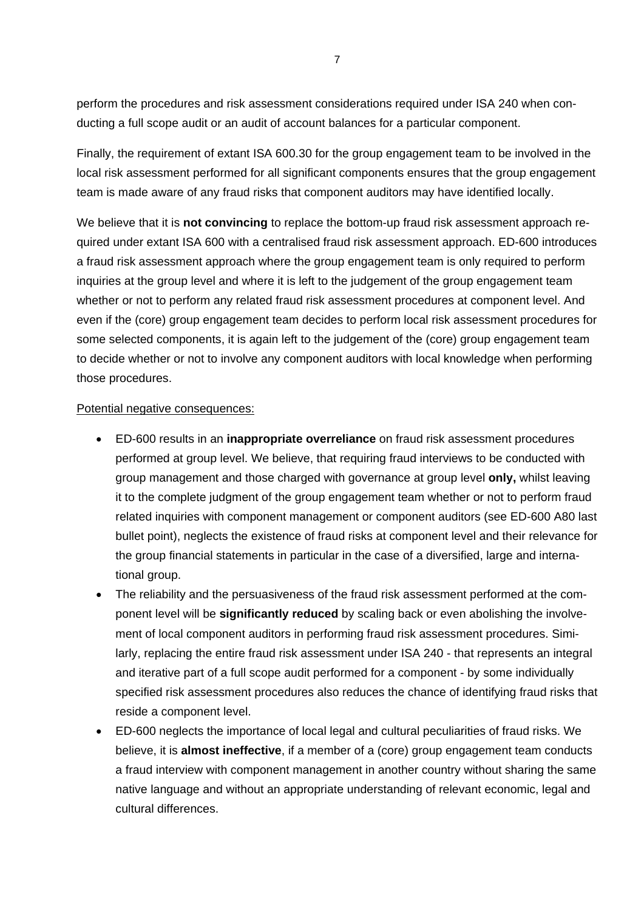perform the procedures and risk assessment considerations required under ISA 240 when conducting a full scope audit or an audit of account balances for a particular component.

Finally, the requirement of extant ISA 600.30 for the group engagement team to be involved in the local risk assessment performed for all significant components ensures that the group engagement team is made aware of any fraud risks that component auditors may have identified locally.

We believe that it is **not convincing** to replace the bottom-up fraud risk assessment approach required under extant ISA 600 with a centralised fraud risk assessment approach. ED-600 introduces a fraud risk assessment approach where the group engagement team is only required to perform inquiries at the group level and where it is left to the judgement of the group engagement team whether or not to perform any related fraud risk assessment procedures at component level. And even if the (core) group engagement team decides to perform local risk assessment procedures for some selected components, it is again left to the judgement of the (core) group engagement team to decide whether or not to involve any component auditors with local knowledge when performing those procedures.

#### Potential negative consequences:

- ED-600 results in an **inappropriate overreliance** on fraud risk assessment procedures performed at group level. We believe, that requiring fraud interviews to be conducted with group management and those charged with governance at group level **only,** whilst leaving it to the complete judgment of the group engagement team whether or not to perform fraud related inquiries with component management or component auditors (see ED-600 A80 last bullet point), neglects the existence of fraud risks at component level and their relevance for the group financial statements in particular in the case of a diversified, large and international group.
- The reliability and the persuasiveness of the fraud risk assessment performed at the component level will be **significantly reduced** by scaling back or even abolishing the involvement of local component auditors in performing fraud risk assessment procedures. Similarly, replacing the entire fraud risk assessment under ISA 240 - that represents an integral and iterative part of a full scope audit performed for a component - by some individually specified risk assessment procedures also reduces the chance of identifying fraud risks that reside a component level.
- ED-600 neglects the importance of local legal and cultural peculiarities of fraud risks. We believe, it is **almost ineffective**, if a member of a (core) group engagement team conducts a fraud interview with component management in another country without sharing the same native language and without an appropriate understanding of relevant economic, legal and cultural differences.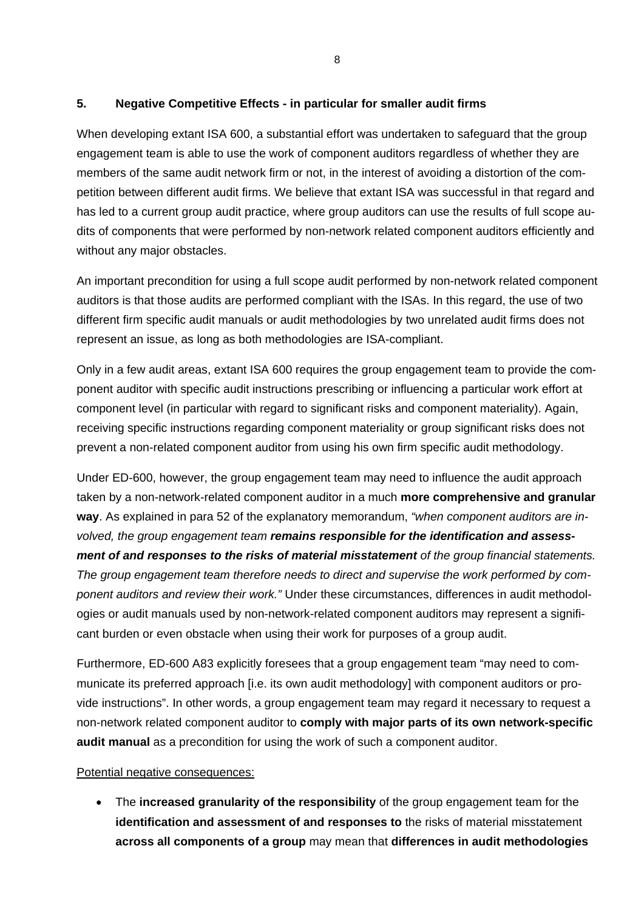## **5. Negative Competitive Effects - in particular for smaller audit firms**

When developing extant ISA 600, a substantial effort was undertaken to safeguard that the group engagement team is able to use the work of component auditors regardless of whether they are members of the same audit network firm or not, in the interest of avoiding a distortion of the competition between different audit firms. We believe that extant ISA was successful in that regard and has led to a current group audit practice, where group auditors can use the results of full scope audits of components that were performed by non-network related component auditors efficiently and without any major obstacles.

An important precondition for using a full scope audit performed by non-network related component auditors is that those audits are performed compliant with the ISAs. In this regard, the use of two different firm specific audit manuals or audit methodologies by two unrelated audit firms does not represent an issue, as long as both methodologies are ISA-compliant.

Only in a few audit areas, extant ISA 600 requires the group engagement team to provide the component auditor with specific audit instructions prescribing or influencing a particular work effort at component level (in particular with regard to significant risks and component materiality). Again, receiving specific instructions regarding component materiality or group significant risks does not prevent a non-related component auditor from using his own firm specific audit methodology.

Under ED-600, however, the group engagement team may need to influence the audit approach taken by a non-network-related component auditor in a much **more comprehensive and granular way**. As explained in para 52 of the explanatory memorandum, *"when component auditors are involved, the group engagement team remains responsible for the identification and assessment of and responses to the risks of material misstatement of the group financial statements. The group engagement team therefore needs to direct and supervise the work performed by component auditors and review their work."* Under these circumstances, differences in audit methodologies or audit manuals used by non-network-related component auditors may represent a significant burden or even obstacle when using their work for purposes of a group audit.

Furthermore, ED-600 A83 explicitly foresees that a group engagement team "may need to communicate its preferred approach [i.e. its own audit methodology] with component auditors or provide instructions". In other words, a group engagement team may regard it necessary to request a non-network related component auditor to **comply with major parts of its own network-specific audit manual** as a precondition for using the work of such a component auditor.

## Potential negative consequences:

 The **increased granularity of the responsibility** of the group engagement team for the **identification and assessment of and responses to** the risks of material misstatement **across all components of a group** may mean that **differences in audit methodologies**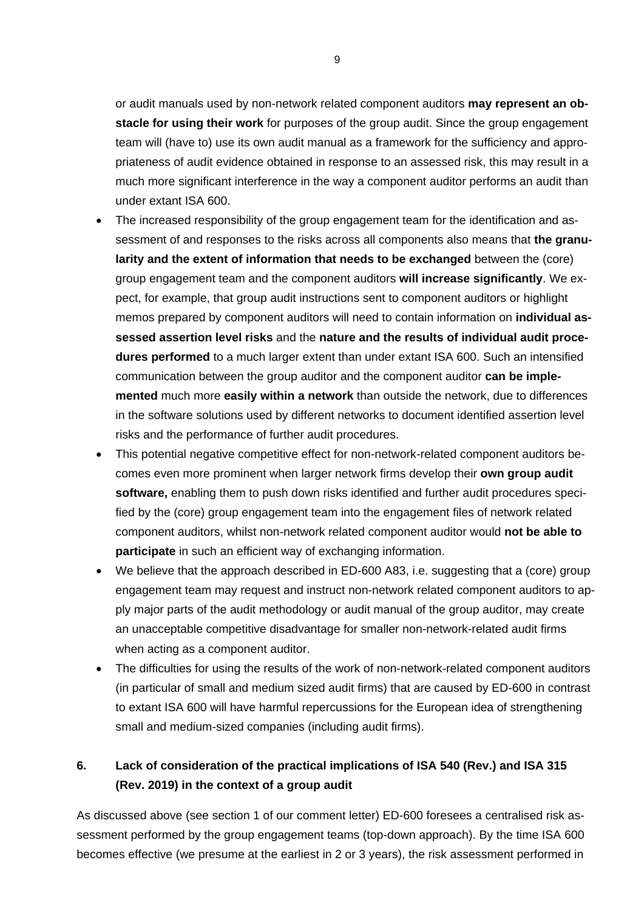or audit manuals used by non-network related component auditors **may represent an obstacle for using their work** for purposes of the group audit. Since the group engagement team will (have to) use its own audit manual as a framework for the sufficiency and appropriateness of audit evidence obtained in response to an assessed risk, this may result in a much more significant interference in the way a component auditor performs an audit than under extant ISA 600.

- The increased responsibility of the group engagement team for the identification and assessment of and responses to the risks across all components also means that **the granularity and the extent of information that needs to be exchanged** between the (core) group engagement team and the component auditors **will increase significantly**. We expect, for example, that group audit instructions sent to component auditors or highlight memos prepared by component auditors will need to contain information on **individual assessed assertion level risks** and the **nature and the results of individual audit procedures performed** to a much larger extent than under extant ISA 600. Such an intensified communication between the group auditor and the component auditor **can be implemented** much more **easily within a network** than outside the network, due to differences in the software solutions used by different networks to document identified assertion level risks and the performance of further audit procedures.
- This potential negative competitive effect for non-network-related component auditors becomes even more prominent when larger network firms develop their **own group audit software,** enabling them to push down risks identified and further audit procedures specified by the (core) group engagement team into the engagement files of network related component auditors, whilst non-network related component auditor would **not be able to participate** in such an efficient way of exchanging information.
- We believe that the approach described in ED-600 A83, i.e. suggesting that a (core) group engagement team may request and instruct non-network related component auditors to apply major parts of the audit methodology or audit manual of the group auditor, may create an unacceptable competitive disadvantage for smaller non-network-related audit firms when acting as a component auditor.
- The difficulties for using the results of the work of non-network-related component auditors (in particular of small and medium sized audit firms) that are caused by ED-600 in contrast to extant ISA 600 will have harmful repercussions for the European idea of strengthening small and medium-sized companies (including audit firms).

## **6. Lack of consideration of the practical implications of ISA 540 (Rev.) and ISA 315 (Rev. 2019) in the context of a group audit**

As discussed above (see section 1 of our comment letter) ED-600 foresees a centralised risk assessment performed by the group engagement teams (top-down approach). By the time ISA 600 becomes effective (we presume at the earliest in 2 or 3 years), the risk assessment performed in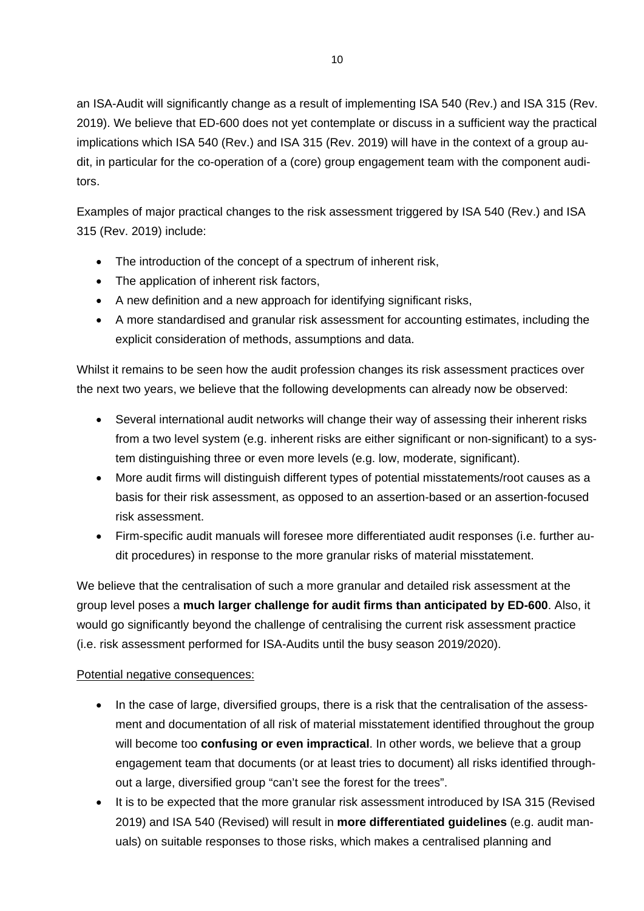an ISA-Audit will significantly change as a result of implementing ISA 540 (Rev.) and ISA 315 (Rev. 2019). We believe that ED-600 does not yet contemplate or discuss in a sufficient way the practical implications which ISA 540 (Rev.) and ISA 315 (Rev. 2019) will have in the context of a group audit, in particular for the co-operation of a (core) group engagement team with the component auditors.

Examples of major practical changes to the risk assessment triggered by ISA 540 (Rev.) and ISA 315 (Rev. 2019) include:

- The introduction of the concept of a spectrum of inherent risk,
- The application of inherent risk factors,
- A new definition and a new approach for identifying significant risks,
- A more standardised and granular risk assessment for accounting estimates, including the explicit consideration of methods, assumptions and data.

Whilst it remains to be seen how the audit profession changes its risk assessment practices over the next two years, we believe that the following developments can already now be observed:

- Several international audit networks will change their way of assessing their inherent risks from a two level system (e.g. inherent risks are either significant or non-significant) to a system distinguishing three or even more levels (e.g. low, moderate, significant).
- More audit firms will distinguish different types of potential misstatements/root causes as a basis for their risk assessment, as opposed to an assertion-based or an assertion-focused risk assessment.
- Firm-specific audit manuals will foresee more differentiated audit responses (i.e. further audit procedures) in response to the more granular risks of material misstatement.

We believe that the centralisation of such a more granular and detailed risk assessment at the group level poses a **much larger challenge for audit firms than anticipated by ED-600**. Also, it would go significantly beyond the challenge of centralising the current risk assessment practice (i.e. risk assessment performed for ISA-Audits until the busy season 2019/2020).

## Potential negative consequences:

- In the case of large, diversified groups, there is a risk that the centralisation of the assessment and documentation of all risk of material misstatement identified throughout the group will become too **confusing or even impractical**. In other words, we believe that a group engagement team that documents (or at least tries to document) all risks identified throughout a large, diversified group "can't see the forest for the trees".
- It is to be expected that the more granular risk assessment introduced by ISA 315 (Revised 2019) and ISA 540 (Revised) will result in **more differentiated guidelines** (e.g. audit manuals) on suitable responses to those risks, which makes a centralised planning and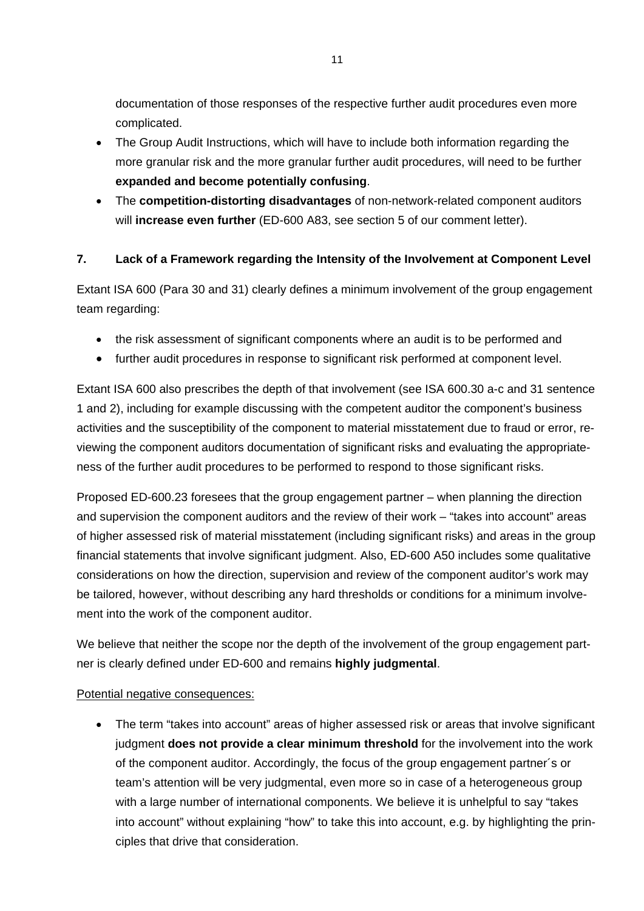documentation of those responses of the respective further audit procedures even more complicated.

- The Group Audit Instructions, which will have to include both information regarding the more granular risk and the more granular further audit procedures, will need to be further **expanded and become potentially confusing**.
- The **competition-distorting disadvantages** of non-network-related component auditors will **increase even further** (ED-600 A83, see section 5 of our comment letter).

## **7. Lack of a Framework regarding the Intensity of the Involvement at Component Level**

Extant ISA 600 (Para 30 and 31) clearly defines a minimum involvement of the group engagement team regarding:

- the risk assessment of significant components where an audit is to be performed and
- further audit procedures in response to significant risk performed at component level.

Extant ISA 600 also prescribes the depth of that involvement (see ISA 600.30 a-c and 31 sentence 1 and 2), including for example discussing with the competent auditor the component's business activities and the susceptibility of the component to material misstatement due to fraud or error, reviewing the component auditors documentation of significant risks and evaluating the appropriateness of the further audit procedures to be performed to respond to those significant risks.

Proposed ED-600.23 foresees that the group engagement partner – when planning the direction and supervision the component auditors and the review of their work – "takes into account" areas of higher assessed risk of material misstatement (including significant risks) and areas in the group financial statements that involve significant judgment. Also, ED-600 A50 includes some qualitative considerations on how the direction, supervision and review of the component auditor's work may be tailored, however, without describing any hard thresholds or conditions for a minimum involvement into the work of the component auditor.

We believe that neither the scope nor the depth of the involvement of the group engagement partner is clearly defined under ED-600 and remains **highly judgmental**.

#### Potential negative consequences:

• The term "takes into account" areas of higher assessed risk or areas that involve significant judgment **does not provide a clear minimum threshold** for the involvement into the work of the component auditor. Accordingly, the focus of the group engagement partner´s or team's attention will be very judgmental, even more so in case of a heterogeneous group with a large number of international components. We believe it is unhelpful to say "takes into account" without explaining "how" to take this into account, e.g. by highlighting the principles that drive that consideration.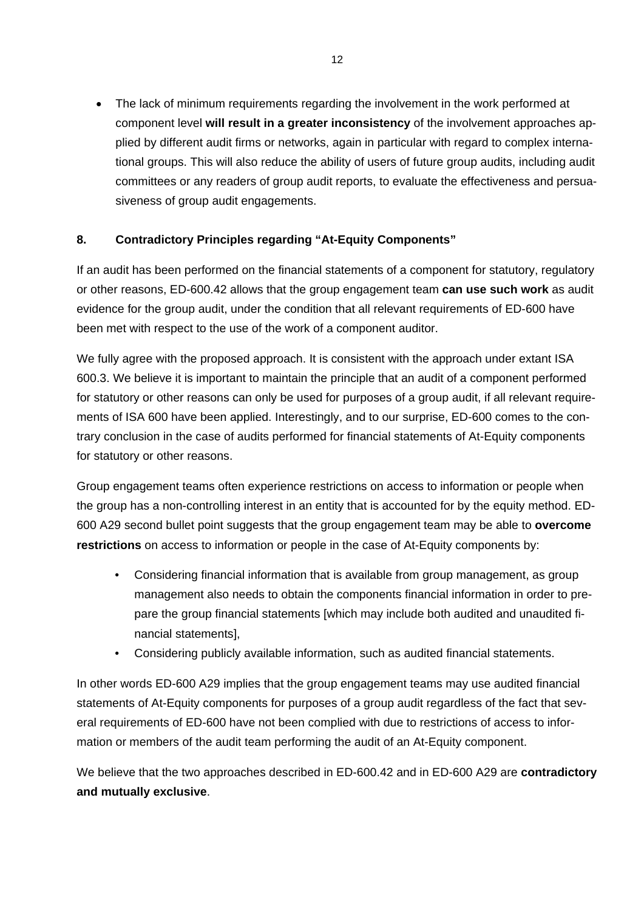The lack of minimum requirements regarding the involvement in the work performed at component level **will result in a greater inconsistency** of the involvement approaches applied by different audit firms or networks, again in particular with regard to complex international groups. This will also reduce the ability of users of future group audits, including audit committees or any readers of group audit reports, to evaluate the effectiveness and persuasiveness of group audit engagements.

## **8. Contradictory Principles regarding "At-Equity Components"**

If an audit has been performed on the financial statements of a component for statutory, regulatory or other reasons, ED-600.42 allows that the group engagement team **can use such work** as audit evidence for the group audit, under the condition that all relevant requirements of ED-600 have been met with respect to the use of the work of a component auditor.

We fully agree with the proposed approach. It is consistent with the approach under extant ISA 600.3. We believe it is important to maintain the principle that an audit of a component performed for statutory or other reasons can only be used for purposes of a group audit, if all relevant requirements of ISA 600 have been applied. Interestingly, and to our surprise, ED-600 comes to the contrary conclusion in the case of audits performed for financial statements of At-Equity components for statutory or other reasons.

Group engagement teams often experience restrictions on access to information or people when the group has a non-controlling interest in an entity that is accounted for by the equity method. ED-600 A29 second bullet point suggests that the group engagement team may be able to **overcome restrictions** on access to information or people in the case of At-Equity components by:

- Considering financial information that is available from group management, as group management also needs to obtain the components financial information in order to prepare the group financial statements [which may include both audited and unaudited financial statements],
- Considering publicly available information, such as audited financial statements.

In other words ED-600 A29 implies that the group engagement teams may use audited financial statements of At-Equity components for purposes of a group audit regardless of the fact that several requirements of ED-600 have not been complied with due to restrictions of access to information or members of the audit team performing the audit of an At-Equity component.

We believe that the two approaches described in ED-600.42 and in ED-600 A29 are **contradictory and mutually exclusive**.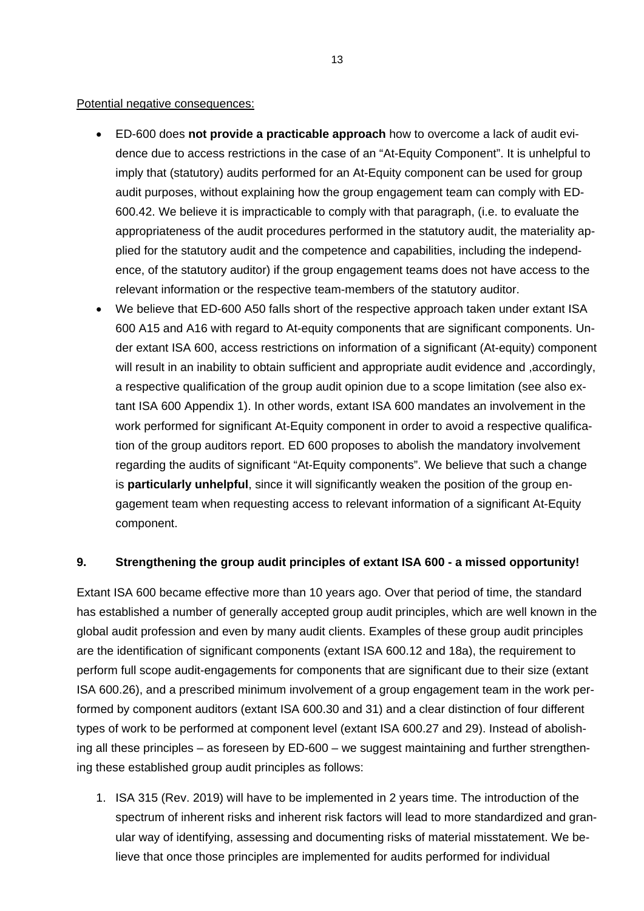#### Potential negative consequences:

- ED-600 does **not provide a practicable approach** how to overcome a lack of audit evidence due to access restrictions in the case of an "At-Equity Component". It is unhelpful to imply that (statutory) audits performed for an At-Equity component can be used for group audit purposes, without explaining how the group engagement team can comply with ED-600.42. We believe it is impracticable to comply with that paragraph, (i.e. to evaluate the appropriateness of the audit procedures performed in the statutory audit, the materiality applied for the statutory audit and the competence and capabilities, including the independence, of the statutory auditor) if the group engagement teams does not have access to the relevant information or the respective team-members of the statutory auditor.
- We believe that ED-600 A50 falls short of the respective approach taken under extant ISA 600 A15 and A16 with regard to At-equity components that are significant components. Under extant ISA 600, access restrictions on information of a significant (At-equity) component will result in an inability to obtain sufficient and appropriate audit evidence and ,accordingly, a respective qualification of the group audit opinion due to a scope limitation (see also extant ISA 600 Appendix 1). In other words, extant ISA 600 mandates an involvement in the work performed for significant At-Equity component in order to avoid a respective qualification of the group auditors report. ED 600 proposes to abolish the mandatory involvement regarding the audits of significant "At-Equity components". We believe that such a change is **particularly unhelpful**, since it will significantly weaken the position of the group engagement team when requesting access to relevant information of a significant At-Equity component.

## **9. Strengthening the group audit principles of extant ISA 600 - a missed opportunity!**

Extant ISA 600 became effective more than 10 years ago. Over that period of time, the standard has established a number of generally accepted group audit principles, which are well known in the global audit profession and even by many audit clients. Examples of these group audit principles are the identification of significant components (extant ISA 600.12 and 18a), the requirement to perform full scope audit-engagements for components that are significant due to their size (extant ISA 600.26), and a prescribed minimum involvement of a group engagement team in the work performed by component auditors (extant ISA 600.30 and 31) and a clear distinction of four different types of work to be performed at component level (extant ISA 600.27 and 29). Instead of abolishing all these principles – as foreseen by ED-600 – we suggest maintaining and further strengthening these established group audit principles as follows:

1. ISA 315 (Rev. 2019) will have to be implemented in 2 years time. The introduction of the spectrum of inherent risks and inherent risk factors will lead to more standardized and granular way of identifying, assessing and documenting risks of material misstatement. We believe that once those principles are implemented for audits performed for individual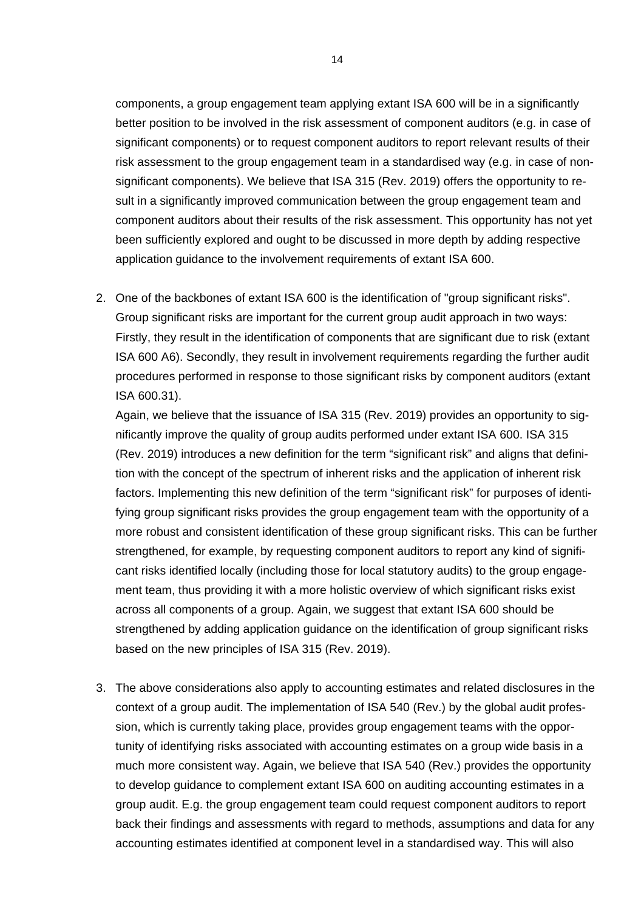components, a group engagement team applying extant ISA 600 will be in a significantly better position to be involved in the risk assessment of component auditors (e.g. in case of significant components) or to request component auditors to report relevant results of their risk assessment to the group engagement team in a standardised way (e.g. in case of nonsignificant components). We believe that ISA 315 (Rev. 2019) offers the opportunity to result in a significantly improved communication between the group engagement team and component auditors about their results of the risk assessment. This opportunity has not yet been sufficiently explored and ought to be discussed in more depth by adding respective application guidance to the involvement requirements of extant ISA 600.

2. One of the backbones of extant ISA 600 is the identification of "group significant risks". Group significant risks are important for the current group audit approach in two ways: Firstly, they result in the identification of components that are significant due to risk (extant ISA 600 A6). Secondly, they result in involvement requirements regarding the further audit procedures performed in response to those significant risks by component auditors (extant ISA 600.31).

Again, we believe that the issuance of ISA 315 (Rev. 2019) provides an opportunity to significantly improve the quality of group audits performed under extant ISA 600. ISA 315 (Rev. 2019) introduces a new definition for the term "significant risk" and aligns that definition with the concept of the spectrum of inherent risks and the application of inherent risk factors. Implementing this new definition of the term "significant risk" for purposes of identifying group significant risks provides the group engagement team with the opportunity of a more robust and consistent identification of these group significant risks. This can be further strengthened, for example, by requesting component auditors to report any kind of significant risks identified locally (including those for local statutory audits) to the group engagement team, thus providing it with a more holistic overview of which significant risks exist across all components of a group. Again, we suggest that extant ISA 600 should be strengthened by adding application guidance on the identification of group significant risks based on the new principles of ISA 315 (Rev. 2019).

3. The above considerations also apply to accounting estimates and related disclosures in the context of a group audit. The implementation of ISA 540 (Rev.) by the global audit profession, which is currently taking place, provides group engagement teams with the opportunity of identifying risks associated with accounting estimates on a group wide basis in a much more consistent way. Again, we believe that ISA 540 (Rev.) provides the opportunity to develop guidance to complement extant ISA 600 on auditing accounting estimates in a group audit. E.g. the group engagement team could request component auditors to report back their findings and assessments with regard to methods, assumptions and data for any accounting estimates identified at component level in a standardised way. This will also

14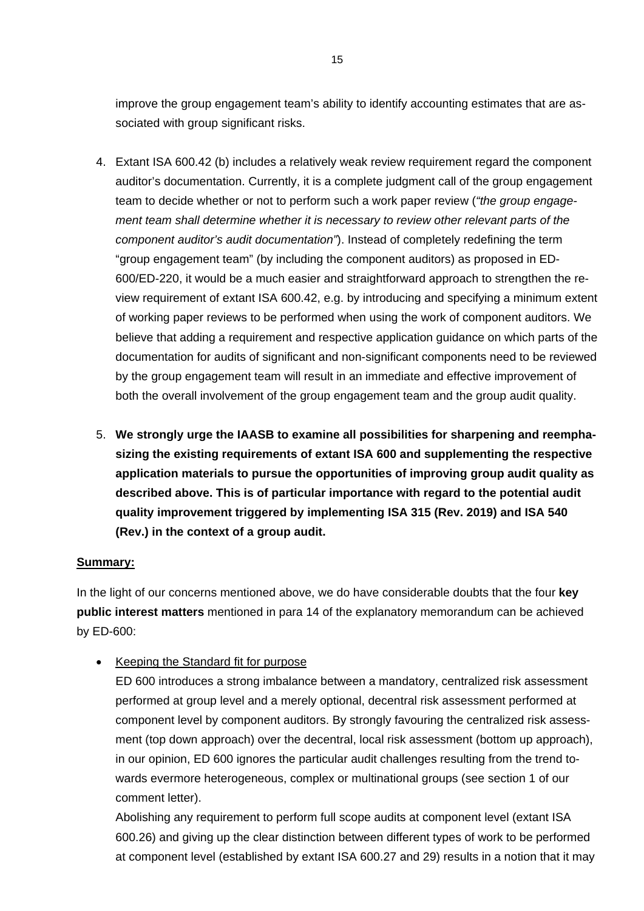improve the group engagement team's ability to identify accounting estimates that are associated with group significant risks.

- 4. Extant ISA 600.42 (b) includes a relatively weak review requirement regard the component auditor's documentation. Currently, it is a complete judgment call of the group engagement team to decide whether or not to perform such a work paper review (*"the group engagement team shall determine whether it is necessary to review other relevant parts of the component auditor's audit documentation"*). Instead of completely redefining the term "group engagement team" (by including the component auditors) as proposed in ED-600/ED-220, it would be a much easier and straightforward approach to strengthen the review requirement of extant ISA 600.42, e.g. by introducing and specifying a minimum extent of working paper reviews to be performed when using the work of component auditors. We believe that adding a requirement and respective application guidance on which parts of the documentation for audits of significant and non-significant components need to be reviewed by the group engagement team will result in an immediate and effective improvement of both the overall involvement of the group engagement team and the group audit quality.
- 5. **We strongly urge the IAASB to examine all possibilities for sharpening and reemphasizing the existing requirements of extant ISA 600 and supplementing the respective application materials to pursue the opportunities of improving group audit quality as described above. This is of particular importance with regard to the potential audit quality improvement triggered by implementing ISA 315 (Rev. 2019) and ISA 540 (Rev.) in the context of a group audit.**

## **Summary:**

In the light of our concerns mentioned above, we do have considerable doubts that the four **key public interest matters** mentioned in para 14 of the explanatory memorandum can be achieved by ED-600:

• Keeping the Standard fit for purpose

ED 600 introduces a strong imbalance between a mandatory, centralized risk assessment performed at group level and a merely optional, decentral risk assessment performed at component level by component auditors. By strongly favouring the centralized risk assessment (top down approach) over the decentral, local risk assessment (bottom up approach), in our opinion, ED 600 ignores the particular audit challenges resulting from the trend towards evermore heterogeneous, complex or multinational groups (see section 1 of our comment letter).

Abolishing any requirement to perform full scope audits at component level (extant ISA 600.26) and giving up the clear distinction between different types of work to be performed at component level (established by extant ISA 600.27 and 29) results in a notion that it may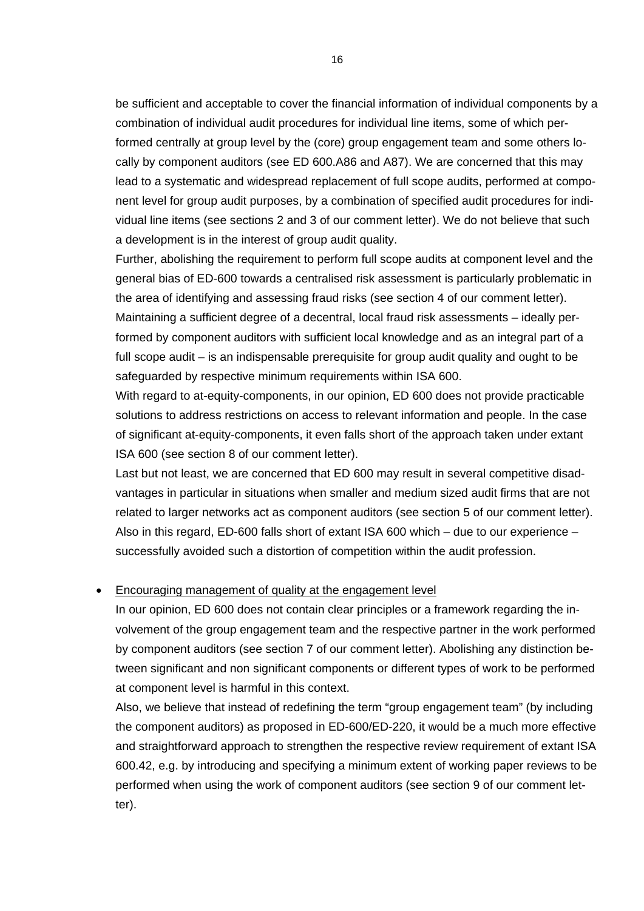be sufficient and acceptable to cover the financial information of individual components by a combination of individual audit procedures for individual line items, some of which performed centrally at group level by the (core) group engagement team and some others locally by component auditors (see ED 600.A86 and A87). We are concerned that this may lead to a systematic and widespread replacement of full scope audits, performed at component level for group audit purposes, by a combination of specified audit procedures for individual line items (see sections 2 and 3 of our comment letter). We do not believe that such a development is in the interest of group audit quality.

Further, abolishing the requirement to perform full scope audits at component level and the general bias of ED-600 towards a centralised risk assessment is particularly problematic in the area of identifying and assessing fraud risks (see section 4 of our comment letter).

Maintaining a sufficient degree of a decentral, local fraud risk assessments – ideally performed by component auditors with sufficient local knowledge and as an integral part of a full scope audit – is an indispensable prerequisite for group audit quality and ought to be safeguarded by respective minimum requirements within ISA 600.

With regard to at-equity-components, in our opinion, ED 600 does not provide practicable solutions to address restrictions on access to relevant information and people. In the case of significant at-equity-components, it even falls short of the approach taken under extant ISA 600 (see section 8 of our comment letter).

Last but not least, we are concerned that ED 600 may result in several competitive disadvantages in particular in situations when smaller and medium sized audit firms that are not related to larger networks act as component auditors (see section 5 of our comment letter). Also in this regard, ED-600 falls short of extant ISA 600 which – due to our experience – successfully avoided such a distortion of competition within the audit profession.

#### • Encouraging management of quality at the engagement level

In our opinion, ED 600 does not contain clear principles or a framework regarding the involvement of the group engagement team and the respective partner in the work performed by component auditors (see section 7 of our comment letter). Abolishing any distinction between significant and non significant components or different types of work to be performed at component level is harmful in this context.

Also, we believe that instead of redefining the term "group engagement team" (by including the component auditors) as proposed in ED-600/ED-220, it would be a much more effective and straightforward approach to strengthen the respective review requirement of extant ISA 600.42, e.g. by introducing and specifying a minimum extent of working paper reviews to be performed when using the work of component auditors (see section 9 of our comment letter).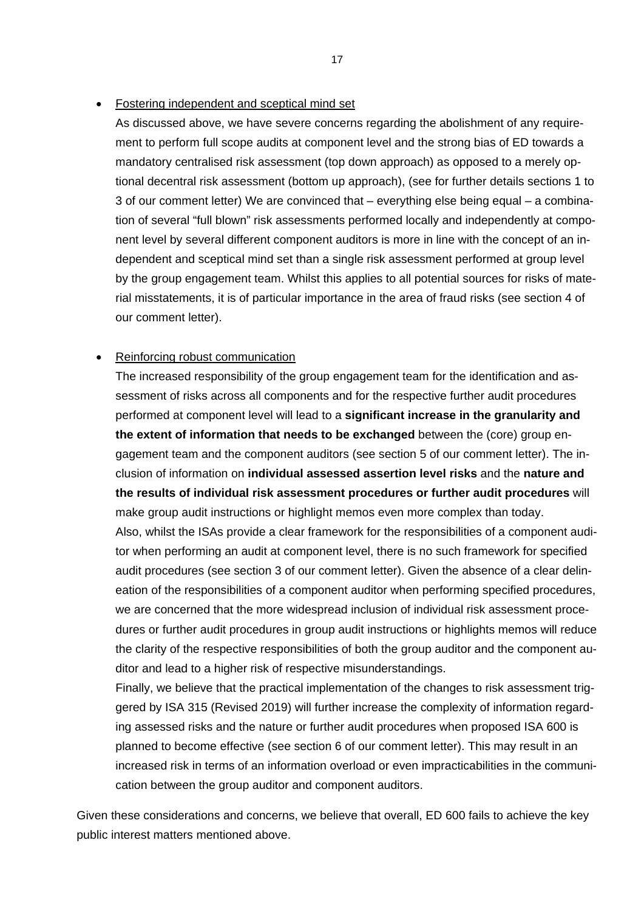#### • Fostering independent and sceptical mind set

As discussed above, we have severe concerns regarding the abolishment of any requirement to perform full scope audits at component level and the strong bias of ED towards a mandatory centralised risk assessment (top down approach) as opposed to a merely optional decentral risk assessment (bottom up approach), (see for further details sections 1 to 3 of our comment letter) We are convinced that – everything else being equal – a combination of several "full blown" risk assessments performed locally and independently at component level by several different component auditors is more in line with the concept of an independent and sceptical mind set than a single risk assessment performed at group level by the group engagement team. Whilst this applies to all potential sources for risks of material misstatements, it is of particular importance in the area of fraud risks (see section 4 of our comment letter).

#### • Reinforcing robust communication

The increased responsibility of the group engagement team for the identification and assessment of risks across all components and for the respective further audit procedures performed at component level will lead to a **significant increase in the granularity and the extent of information that needs to be exchanged** between the (core) group engagement team and the component auditors (see section 5 of our comment letter). The inclusion of information on **individual assessed assertion level risks** and the **nature and the results of individual risk assessment procedures or further audit procedures** will make group audit instructions or highlight memos even more complex than today. Also, whilst the ISAs provide a clear framework for the responsibilities of a component auditor when performing an audit at component level, there is no such framework for specified audit procedures (see section 3 of our comment letter). Given the absence of a clear delineation of the responsibilities of a component auditor when performing specified procedures, we are concerned that the more widespread inclusion of individual risk assessment procedures or further audit procedures in group audit instructions or highlights memos will reduce the clarity of the respective responsibilities of both the group auditor and the component auditor and lead to a higher risk of respective misunderstandings.

Finally, we believe that the practical implementation of the changes to risk assessment triggered by ISA 315 (Revised 2019) will further increase the complexity of information regarding assessed risks and the nature or further audit procedures when proposed ISA 600 is planned to become effective (see section 6 of our comment letter). This may result in an increased risk in terms of an information overload or even impracticabilities in the communication between the group auditor and component auditors.

Given these considerations and concerns, we believe that overall, ED 600 fails to achieve the key public interest matters mentioned above.

17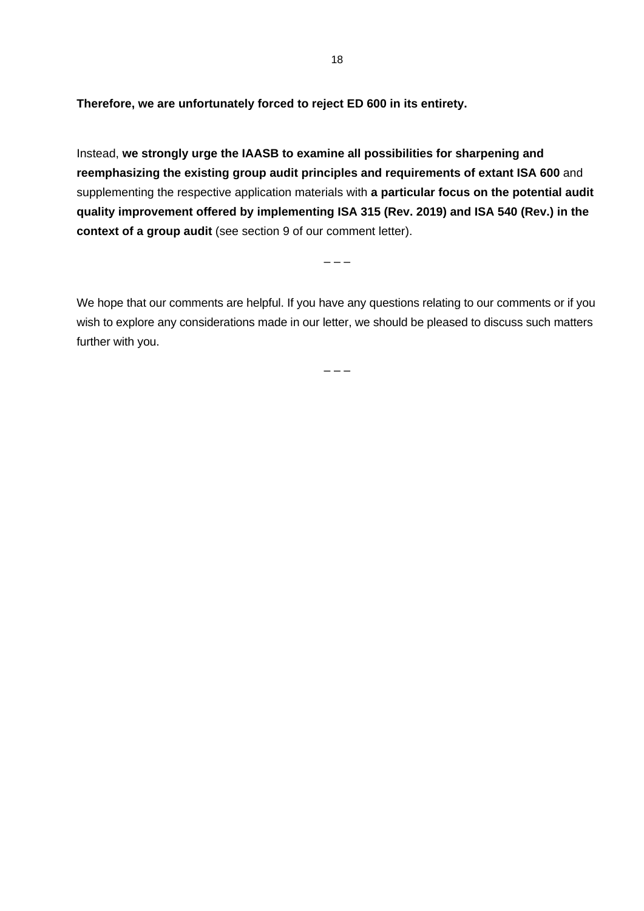**Therefore, we are unfortunately forced to reject ED 600 in its entirety.** 

Instead, **we strongly urge the IAASB to examine all possibilities for sharpening and reemphasizing the existing group audit principles and requirements of extant ISA 600** and supplementing the respective application materials with **a particular focus on the potential audit quality improvement offered by implementing ISA 315 (Rev. 2019) and ISA 540 (Rev.) in the context of a group audit** (see section 9 of our comment letter).

– – –

We hope that our comments are helpful. If you have any questions relating to our comments or if you wish to explore any considerations made in our letter, we should be pleased to discuss such matters further with you.

– – –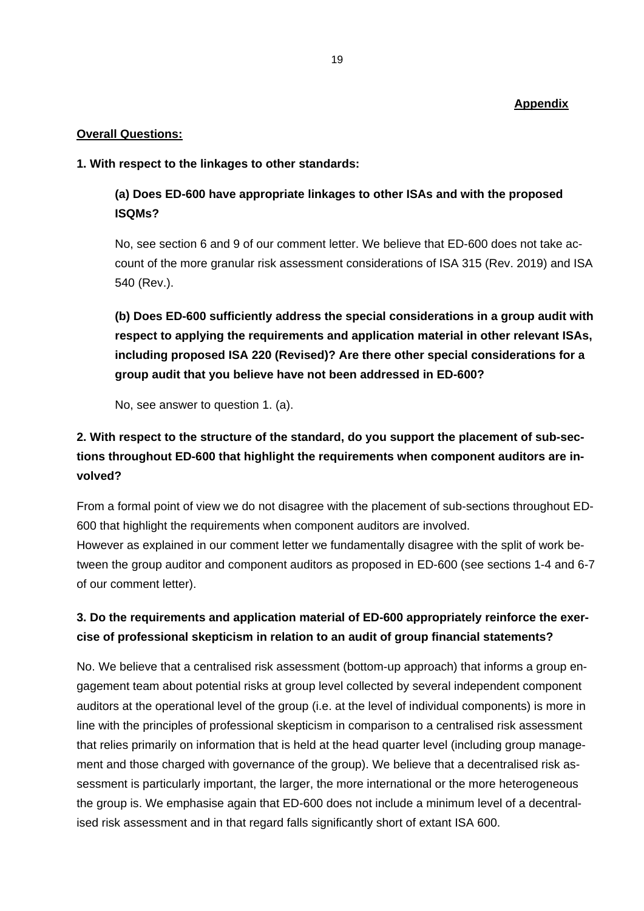## **Appendix**

### **Overall Questions:**

### **1. With respect to the linkages to other standards:**

## **(a) Does ED-600 have appropriate linkages to other ISAs and with the proposed ISQMs?**

No, see section 6 and 9 of our comment letter. We believe that ED-600 does not take account of the more granular risk assessment considerations of ISA 315 (Rev. 2019) and ISA 540 (Rev.).

**(b) Does ED-600 sufficiently address the special considerations in a group audit with respect to applying the requirements and application material in other relevant ISAs, including proposed ISA 220 (Revised)? Are there other special considerations for a group audit that you believe have not been addressed in ED-600?** 

No, see answer to question 1. (a).

# **2. With respect to the structure of the standard, do you support the placement of sub-sections throughout ED-600 that highlight the requirements when component auditors are involved?**

From a formal point of view we do not disagree with the placement of sub-sections throughout ED-600 that highlight the requirements when component auditors are involved.

However as explained in our comment letter we fundamentally disagree with the split of work between the group auditor and component auditors as proposed in ED-600 (see sections 1-4 and 6-7 of our comment letter).

## **3. Do the requirements and application material of ED-600 appropriately reinforce the exercise of professional skepticism in relation to an audit of group financial statements?**

No. We believe that a centralised risk assessment (bottom-up approach) that informs a group engagement team about potential risks at group level collected by several independent component auditors at the operational level of the group (i.e. at the level of individual components) is more in line with the principles of professional skepticism in comparison to a centralised risk assessment that relies primarily on information that is held at the head quarter level (including group management and those charged with governance of the group). We believe that a decentralised risk assessment is particularly important, the larger, the more international or the more heterogeneous the group is. We emphasise again that ED-600 does not include a minimum level of a decentralised risk assessment and in that regard falls significantly short of extant ISA 600.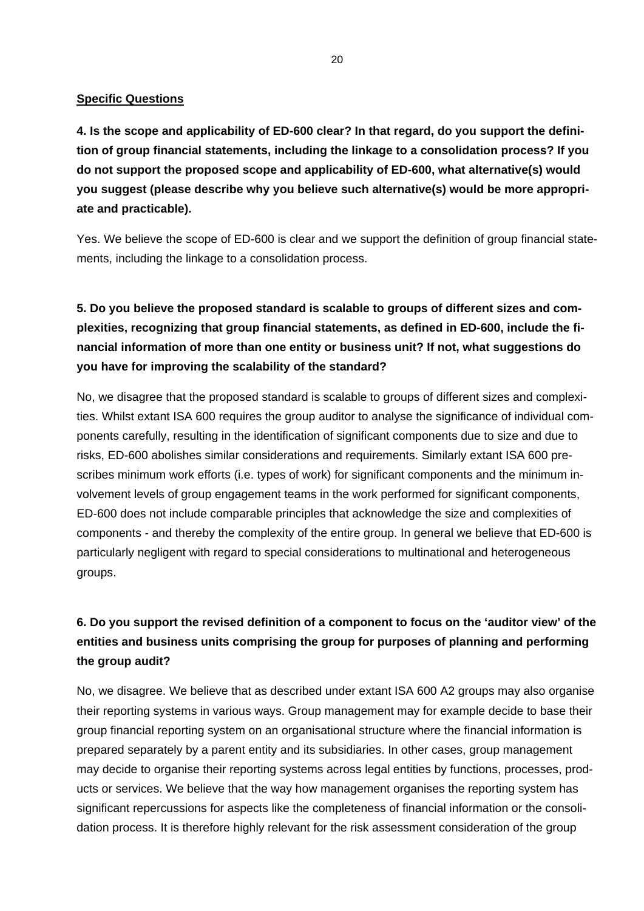### **Specific Questions**

**4. Is the scope and applicability of ED-600 clear? In that regard, do you support the definition of group financial statements, including the linkage to a consolidation process? If you do not support the proposed scope and applicability of ED-600, what alternative(s) would you suggest (please describe why you believe such alternative(s) would be more appropriate and practicable).** 

Yes. We believe the scope of ED-600 is clear and we support the definition of group financial statements, including the linkage to a consolidation process.

# **5. Do you believe the proposed standard is scalable to groups of different sizes and complexities, recognizing that group financial statements, as defined in ED-600, include the financial information of more than one entity or business unit? If not, what suggestions do you have for improving the scalability of the standard?**

No, we disagree that the proposed standard is scalable to groups of different sizes and complexities. Whilst extant ISA 600 requires the group auditor to analyse the significance of individual components carefully, resulting in the identification of significant components due to size and due to risks, ED-600 abolishes similar considerations and requirements. Similarly extant ISA 600 prescribes minimum work efforts (i.e. types of work) for significant components and the minimum involvement levels of group engagement teams in the work performed for significant components, ED-600 does not include comparable principles that acknowledge the size and complexities of components - and thereby the complexity of the entire group. In general we believe that ED-600 is particularly negligent with regard to special considerations to multinational and heterogeneous groups.

# **6. Do you support the revised definition of a component to focus on the 'auditor view' of the entities and business units comprising the group for purposes of planning and performing the group audit?**

No, we disagree. We believe that as described under extant ISA 600 A2 groups may also organise their reporting systems in various ways. Group management may for example decide to base their group financial reporting system on an organisational structure where the financial information is prepared separately by a parent entity and its subsidiaries. In other cases, group management may decide to organise their reporting systems across legal entities by functions, processes, products or services. We believe that the way how management organises the reporting system has significant repercussions for aspects like the completeness of financial information or the consolidation process. It is therefore highly relevant for the risk assessment consideration of the group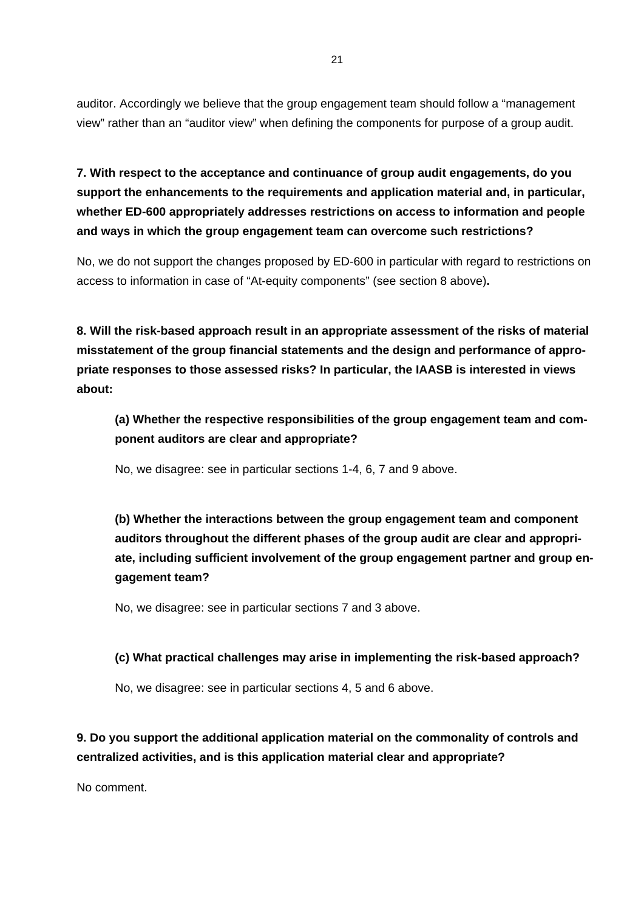auditor. Accordingly we believe that the group engagement team should follow a "management view" rather than an "auditor view" when defining the components for purpose of a group audit.

**7. With respect to the acceptance and continuance of group audit engagements, do you support the enhancements to the requirements and application material and, in particular, whether ED-600 appropriately addresses restrictions on access to information and people and ways in which the group engagement team can overcome such restrictions?** 

No, we do not support the changes proposed by ED-600 in particular with regard to restrictions on access to information in case of "At-equity components" (see section 8 above)**.**

**8. Will the risk-based approach result in an appropriate assessment of the risks of material misstatement of the group financial statements and the design and performance of appropriate responses to those assessed risks? In particular, the IAASB is interested in views about:** 

**(a) Whether the respective responsibilities of the group engagement team and component auditors are clear and appropriate?** 

No, we disagree: see in particular sections 1-4, 6, 7 and 9 above.

**(b) Whether the interactions between the group engagement team and component auditors throughout the different phases of the group audit are clear and appropriate, including sufficient involvement of the group engagement partner and group engagement team?** 

No, we disagree: see in particular sections 7 and 3 above.

## **(c) What practical challenges may arise in implementing the risk-based approach?**

No, we disagree: see in particular sections 4, 5 and 6 above.

**9. Do you support the additional application material on the commonality of controls and centralized activities, and is this application material clear and appropriate?** 

No comment.